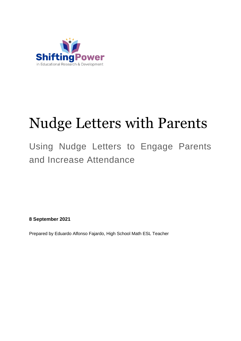

# Nudge Letters with Parents

### Using Nudge Letters to Engage Parents and Increase Attendance

**8 September 2021**

Prepared by Eduardo Alfonso Fajardo, High School Math ESL Teacher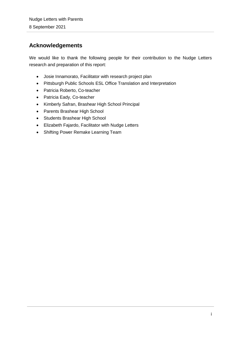#### <span id="page-1-0"></span>**Acknowledgements**

We would like to thank the following people for their contribution to the Nudge Letters research and preparation of this report:

- Josie Innamorato, Facilitator with research project plan
- Pittsburgh Public Schools ESL Office Translation and Interpretation
- Patricia Roberto, Co-teacher
- Patricia Eady, Co-teacher
- Kimberly Safran, Brashear High School Principal
- Parents Brashear High School
- Students Brashear High School
- Elizabeth Fajardo, Facilitator with Nudge Letters
- Shifting Power Remake Learning Team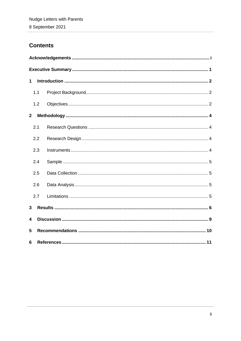#### **Contents**

| 1            |     |  |  |  |  |  |  |
|--------------|-----|--|--|--|--|--|--|
|              | 1.1 |  |  |  |  |  |  |
|              | 1.2 |  |  |  |  |  |  |
| $\mathbf{2}$ |     |  |  |  |  |  |  |
|              | 2.1 |  |  |  |  |  |  |
|              | 2.2 |  |  |  |  |  |  |
|              | 2.3 |  |  |  |  |  |  |
|              | 2.4 |  |  |  |  |  |  |
|              | 2.5 |  |  |  |  |  |  |
|              | 2.6 |  |  |  |  |  |  |
|              | 2.7 |  |  |  |  |  |  |
| 3            |     |  |  |  |  |  |  |
| 4            |     |  |  |  |  |  |  |
| 5            |     |  |  |  |  |  |  |
| 6            |     |  |  |  |  |  |  |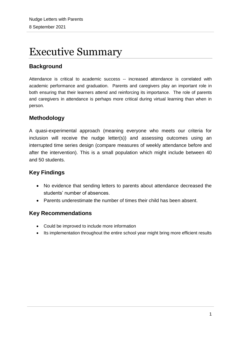### <span id="page-3-0"></span>Executive Summary

#### **Background**

Attendance is critical to academic success -- increased attendance is correlated with academic performance and graduation. Parents and caregivers play an important role in both ensuring that their learners attend and reinforcing its importance. The role of parents and caregivers in attendance is perhaps more critical during virtual learning than when in person.

#### **Methodology**

A quasi-experimental approach (meaning everyone who meets our criteria for inclusion will receive the nudge letter(s)) and assessing outcomes using an interrupted time series design (compare measures of weekly attendance before and after the intervention). This is a small population which might include between 40 and 50 students.

#### **Key Findings**

- No evidence that sending letters to parents about attendance decreased the students' number of absences.
- Parents underestimate the number of times their child has been absent.

#### **Key Recommendations**

- Could be improved to include more information
- Its implementation throughout the entire school year might bring more efficient results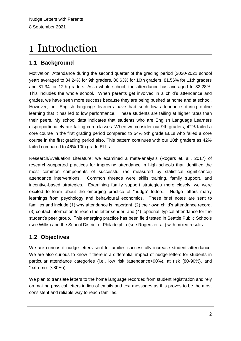## <span id="page-4-0"></span>1 Introduction

#### <span id="page-4-1"></span>**1.1 Background**

Motivation: Attendance during the second quarter of the grading period (2020-2021 school year) averaged to 84.24% for 9th graders, 80.63% for 10th graders, 81.56% for 11th graders and 81.34 for 12th graders. As a whole school, the attendance has averaged to 82.28%. This includes the whole school. When parents get involved in a child's attendance and grades, we have seen more success because they are being pushed at home and at school. However, our English language learners have had such low attendance during online learning that it has led to low performance. These students are failing at higher rates than their peers. My school data indicates that students who are English Language Learners disproportionately are failing core classes. When we consider our 9th graders, 42% failed a core course in the first grading period compared to 54% 9th grade ELLs who failed a core course in the first grading period also. This pattern continues with our 10th graders as 42% failed compared to 46% 10th grade ELLs.

Research/Evaluation Literature: we examined a meta-analysis (Rogers et. al., 2017) of research-supported practices for improving attendance in high schools that identified the most common components of successful (as measured by statistical significance) attendance interventions. Common threads were skills training, family support, and incentive-based strategies. Examining family support strategies more closely, we were excited to learn about the emerging practice of "nudge" letters. Nudge letters marry learnings from psychology and behavioural economics. These brief notes are sent to families and include (1) why attendance is important, (2) their own child's attendance record, (3) contact information to reach the letter sender, and (4) [optional] typical attendance for the student's peer group. This emerging practice has been field tested in Seattle Public Schools (see Willis) and the School District of Philadelphia (see Rogers et. al.) with mixed results.

#### <span id="page-4-2"></span>**1.2 Objectives**

We are curious if nudge letters sent to families successfully increase student attendance. We are also curious to know if there is a differential impact of nudge letters for students in particular attendance categories (i.e., low risk (attendance>90%), at risk (80-90%), and "extreme" (<80%)).

We plan to translate letters to the home language recorded from student registration and rely on mailing physical letters in lieu of emails and text messages as this proves to be the most consistent and reliable way to reach families.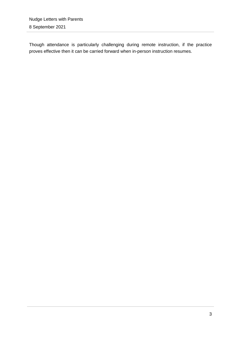Though attendance is particularly challenging during remote instruction, if the practice proves effective then it can be carried forward when in-person instruction resumes.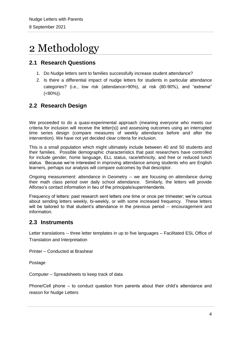### <span id="page-6-0"></span>2 Methodology

#### <span id="page-6-1"></span>**2.1 Research Questions**

- 1. Do Nudge letters sent to families successfully increase student attendance?
- 2. Is there a differential impact of nudge letters for students in particular attendance categories? (i.e., low risk (attendance>90%), at risk (80-90%), and "extreme"  $(<80\%)$ ).

#### <span id="page-6-2"></span>**2.2 Research Design**

We proceeded to do a quasi-experimental approach (meaning everyone who meets our criteria for inclusion will receive the letter(s)) and assessing outcomes using an interrupted time series design (compare measures of weekly attendance before and after the intervention). We have not yet decided clear criteria for inclusion.

This is a small population which might ultimately include between 40 and 50 students and their families. Possible demographic characteristics that past researchers have controlled for include gender, home language, ELL status, race/ethnicity, and free or reduced lunch status. Because we're interested in improving attendance among students who are English learners, perhaps our analysis will compare outcomes by that descriptor.

Ongoing measurement: attendance in Geometry -- we are focusing on attendance during their math class period over daily school attendance. Similarly, the letters will provide Alfonso's contact information in lieu of the principals/superintendents.

Frequency of letters: past research sent letters one time or once per trimester; we're curious about sending letters weekly, bi-weekly, or with some increased frequency. These letters will be tailored to that student's attendance in the previous period -- encouragement and information.

#### <span id="page-6-3"></span>**2.3 Instruments**

Letter translations -- three letter templates in up to five languages – Facilitated ESL Office of Translation and Interpretation

Printer – Conducted at Brashear

Postage

Computer – Spreadsheets to keep track of data

Phone/Cell phone – to conduct question from parents about their child's attendance and reason for Nudge Letters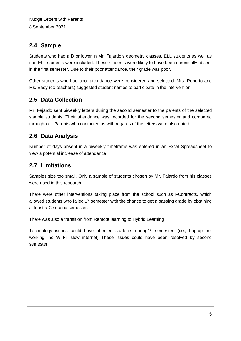#### <span id="page-7-0"></span>**2.4 Sample**

Students who had a D or lower in Mr. Fajardo's geometry classes. ELL students as well as non-ELL students were included. These students were likely to have been chronically absent in the first semester. Due to their poor attendance, their grade was poor.

Other students who had poor attendance were considered and selected. Mrs. Roberto and Ms. Eady (co-teachers) suggested student names to participate in the intervention.

#### <span id="page-7-1"></span>**2.5 Data Collection**

Mr. Fajardo sent biweekly letters during the second semester to the parents of the selected sample students. Their attendance was recorded for the second semester and compared throughout. Parents who contacted us with regards of the letters were also noted

#### <span id="page-7-2"></span>**2.6 Data Analysis**

Number of days absent in a biweekly timeframe was entered in an Excel Spreadsheet to view a potential increase of attendance.

#### <span id="page-7-3"></span>**2.7 Limitations**

Samples size too small. Only a sample of students chosen by Mr. Fajardo from his classes were used in this research.

There were other interventions taking place from the school such as I-Contracts, which allowed students who failed  $1<sup>st</sup>$  semester with the chance to get a passing grade by obtaining at least a C second semester.

There was also a transition from Remote learning to Hybrid Learning

Technology issues could have affected students during1<sup>st</sup> semester. (i.e., Laptop not working, no Wi-Fi, slow internet) These issues could have been resolved by second semester.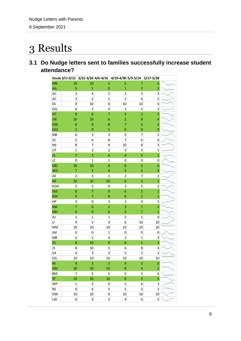### <span id="page-8-0"></span>3 Results

#### **3.1 Do Nudge letters sent to families successfully increase student attendance?**

|            |                          | Stude 3/1=3/12 3/15-3/26 4/6-4/16 4/19-4/30 5/3-5/14 5/17-5/28 |                |                         |                         |                          |  |
|------------|--------------------------|----------------------------------------------------------------|----------------|-------------------------|-------------------------|--------------------------|--|
| MB         | 10                       | 10                                                             | 5              | 5                       | 7                       | 6                        |  |
| AA         | 5                        | $\overline{1}$                                                 | $\overline{0}$ | $\overline{1}$          | $\mathbf{1}$            | $\overline{a}$           |  |
| AC         | 3                        | 4                                                              | $\overline{c}$ | $\overline{2}$          | 5                       | 3                        |  |
| AC         | 3                        | $\overline{2}$                                                 | $\mathbf 1$    | $\overline{2}$          | 6                       | $\overline{\mathbf{c}}$  |  |
| DL         | 9                        | 10                                                             | 8              | 10                      | 10                      | 6                        |  |
| <b>DQ</b>  | 6                        | $\overline{\mathbf{c}}$                                        | 4              | 3                       | 5                       | 3                        |  |
| <b>NT</b>  | 9                        | $\overline{6}$                                                 | $\overline{7}$ | 5                       | $\overline{1}$          | 5                        |  |
| JW         | 10                       | 10                                                             | 6              | $\overline{c}$          | 9                       | 4                        |  |
| <b>DW</b>  | 8                        | 9                                                              | 8              | $\overline{7}$          | 5                       | $\overline{\mathcal{A}}$ |  |
| EAC        | $\overline{a}$           | $\mathbf{0}$                                                   | $\overline{1}$ | $\mathbf{0}$            | $\overline{0}$          | $\mathbf{0}$             |  |
| MB         | 6                        | 3                                                              | 3              | 5                       | 7                       | $\overline{\mathbf{c}}$  |  |
| SC         | 5                        | 6                                                              | 8              | $\overline{7}$          | 6                       | 6                        |  |
| <b>MJ</b>  | 8                        | 7                                                              | 9              | 10                      | 8                       | 3                        |  |
| CP         | $\mathbf{1}$             | 3                                                              | $\overline{2}$ | 3                       | 3                       | 5                        |  |
| JS         | $\overline{7}$           | $\overline{2}$                                                 | 4              | 4                       | 5                       | $\overline{1}$           |  |
| JZ         | 0                        | $\overline{1}$                                                 | $\mathbf{1}$   | $\boldsymbol{0}$        | 0                       | 0                        |  |
| <b>MD</b>  | 10                       | 10                                                             | 8              | 8                       | 5                       | 6                        |  |
| <b>WD</b>  | $\overline{7}$           | 5                                                              | 4              | 5                       | 5                       | 4                        |  |
| AE         | $\overline{2}$           | 3                                                              | $\overline{1}$ | $\overline{c}$          | 7                       | $\overline{\mathbf{c}}$  |  |
| <b>NF</b>  | 10                       | 10                                                             | 10             | 6                       | 3                       | $\overline{a}$           |  |
| KGH        | $\overline{\mathbf{c}}$  | 5                                                              | 0              | $\mathbf{2}$            | 5                       | $\overline{\mathbf{c}}$  |  |
| <b>KM</b>  | 8                        | $\overline{7}$                                                 | 9              | $\overline{6}$          | $\overline{a}$          | $\overline{\mathbf{1}}$  |  |
| <b>KM</b>  | 9                        | 7                                                              | 9              | 6                       | $\overline{a}$          | $\overline{1}$           |  |
| HP         | 3                        | $\mathbf 0$                                                    | 3              | $\overline{\mathbf{c}}$ | 4                       | 5                        |  |
| <b>MA</b>  | $\overline{7}$           | $\overline{6}$                                                 | $\overline{2}$ | 3                       | $\overline{1}$          | $\overline{2}$           |  |
| <b>MH</b>  | 9                        | 9                                                              | 6              | 3                       | $\overline{7}$          | $\mathbf{1}$             |  |
| AJ         | $\mathbf{1}$             | $\overline{1}$                                                 | $\overline{1}$ | 5                       | $\mathbf{1}$            | 0                        |  |
| JJ         | 4                        | 5                                                              | 4              | 6                       | 10                      | 10                       |  |
| <b>NM</b>  | 10                       | 10                                                             | 10             | 10                      | 10                      | 10                       |  |
| JM         | 0                        | 0                                                              | $\mathbf 1$    | 0                       | 0                       | 0                        |  |
| ${\sf MR}$ | 6                        | $\overline{2}$                                                 | 4              | $\overline{\mathbf{c}}$ | $\mathbf 1$             | 3                        |  |
| ZS         | 8                        | 10                                                             | 9              | 6                       | 5                       | $\overline{3}$           |  |
| JS         | 8                        | 10                                                             | 5              | 6                       | 8                       | 4                        |  |
| SA         | 4                        | 3                                                              | 3              | 5                       | $\overline{\mathbf{c}}$ | $\overline{c}$           |  |
| DG         | 10                       | 10                                                             | 10             | 10                      | 10                      | 10                       |  |
| NI         | $\overline{\mathbf{4}}$  | 3                                                              | 3              | 4                       | 3                       | $\mathbf{0}$             |  |
| <b>GM</b>  | 10                       | 10                                                             | 10             | 8                       | 4                       | $\overline{2}$           |  |
| BM         | $\overline{\phantom{a}}$ | 5                                                              | 5              | 5                       | 5                       | 6                        |  |
| JP.        | 10                       | 10                                                             | 10             | $\overline{6}$          | 3                       | 5                        |  |
| <b>WP</b>  | $\mathbf 1$              | $\overline{\mathbf{c}}$                                        | 4              | 5                       | 6                       | 3                        |  |
| RS         | 0                        | 6                                                              | 5              | 5                       | 3                       | $\overline{c}$           |  |
| DW         | 10                       | 10                                                             | 9              | 10                      | 10                      | $10\,$                   |  |
| LW         | $\boldsymbol{6}$         | $\overline{\mathbf{r}}$                                        | 3              | 4                       | 6                       | $\overline{5}$           |  |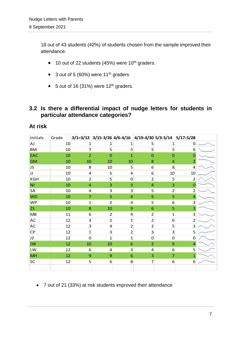18 out of 43 students (42%) of students chosen from the sample improved their attendance.

- $\bullet$  10 out of 22 students (45%) were 10<sup>th</sup> graders.
- $\bullet$  3 out of 5 (60%) were 11<sup>th</sup> graders
- $\bullet$  5 out of 16 (31%) were 12<sup>th</sup> graders.

#### **3.2 Is there a differential impact of nudge letters for students in particular attendance categories?**

#### **At risk**

| At risk        |                 |                         |                         |                |                |                |                                                                      |  |
|----------------|-----------------|-------------------------|-------------------------|----------------|----------------|----------------|----------------------------------------------------------------------|--|
| Initials       | Grade           |                         |                         |                |                |                | $3/1=3/12$ $3/15-3/26$ $4/6-4/16$ $4/19-4/30$ $5/3-5/14$ $5/17-5/28$ |  |
| <b>AJ</b>      | 10              | 1                       | 1                       | 1              | 5              | 1              | 0                                                                    |  |
| <b>BM</b>      | 10              | $\overline{7}$          | 5 <sup>1</sup>          | 5              | 5              | 5              | 6                                                                    |  |
| EAC            | 10              | $\overline{2}$          | $\overline{0}$          | $\mathbf{1}$   | $\overline{0}$ | $\overline{0}$ | $\overline{0}$                                                       |  |
| <b>GM</b>      | 10              | 10                      | 10                      | 10             | 8              | 4              | 2                                                                    |  |
| JS.            | 10              | 8                       | 10                      | 5              | 6              | 8              | 4                                                                    |  |
| IJ             | 10              | 4                       | 5                       | 4              | 6              | 10             | 10                                                                   |  |
| KGH            | 10              | $\overline{2}$          | 5 <sup>1</sup>          | 0              | $\overline{2}$ | 5              | $\overline{2}$                                                       |  |
| N <sub>1</sub> | 10              | $\overline{4}$          | 3                       | 3              | 4              | 3              | 0                                                                    |  |
| SA             | 10 <sup>1</sup> | $\overline{\mathbf{r}}$ | $\overline{\mathbf{3}}$ | $\overline{3}$ | 5              | $\overline{2}$ | $\overline{2}$                                                       |  |
| <b>WD</b>      | 10              | $\overline{7}$          | 5                       | $\overline{4}$ | 5              | 5              | 4                                                                    |  |
| <b>WP</b>      | 10 <sup>1</sup> | $\mathbf{1}$            | $\overline{2}$          | 4              | 5              | 6              | 3                                                                    |  |
| <b>ZS</b>      | 10              | 8                       | 10                      | 9              | 6              | 5              | 3                                                                    |  |
| MB             | 11              | $6 \overline{6}$        | $\overline{2}$          | 4              | $\overline{2}$ | $\mathbf{1}$   | 3                                                                    |  |
| AC             | 12              | 3                       | $\overline{2}$          | $\mathbf{1}$   | $\overline{2}$ | 6              | $\overline{2}$                                                       |  |
| AC             | 12              | $\overline{3}$          | 4                       | $\overline{2}$ | $\overline{2}$ | 5              | 3                                                                    |  |
| CP             | 12              | $\mathbf 1$             | $\overline{\mathbf{3}}$ | $\overline{2}$ | 3              | 3              | 5                                                                    |  |
| JZ             | 12              | $\overline{0}$          | $\overline{1}$          | 1              | 0              | $\overline{0}$ | $\mathbf 0$                                                          |  |
| <b>JW</b>      | 12              | 10                      | 10                      | 6              | $\overline{2}$ | 9              | $\overline{4}$                                                       |  |
| LW             | 12              | 6                       | 4                       | 3              | 4              | 6              | 5                                                                    |  |
| MH             | 12              | $\mathbf 9$             | $\boldsymbol{9}$        | 6              | 3              | $\overline{7}$ | $\mathbf{1}$                                                         |  |
| SC             | 12              | 5                       | $\sqrt{6}$              | 8              | $\overline{7}$ | 6              | 6                                                                    |  |
|                |                 |                         |                         |                |                |                |                                                                      |  |

7 out of 21 (33%) at risk students improved their attendance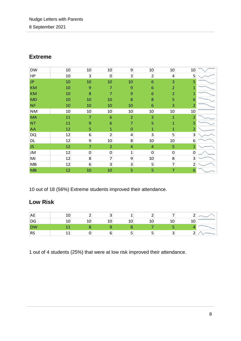#### **Extreme**

| <b>DW</b> | 10 | 10               | 10               | 9              | 10             | 10             | 10                      |  |
|-----------|----|------------------|------------------|----------------|----------------|----------------|-------------------------|--|
| HP        | 10 | 3                | $\mathbf 0$      | 3              | $\overline{2}$ | 4              | 5                       |  |
| <b>JP</b> | 10 | 10               | 10               | 10             | 6              | 3              | 5                       |  |
| <b>KM</b> | 10 | $\boldsymbol{9}$ | $\overline{7}$   | 9              | 6              | $\overline{2}$ | 1                       |  |
| <b>KM</b> | 10 | 8                | $\overline{7}$   | 9              | 6              | $\overline{2}$ |                         |  |
| <b>MD</b> | 10 | 10               | 10               | 8              | 8              | 5              | 6                       |  |
| <b>NF</b> | 10 | 10               | 10               | 10             | 6              | 3              | 2                       |  |
| <b>NM</b> | 10 | 10               | $10\,$           | 10             | 10             | 10             | 10                      |  |
| <b>MA</b> | 11 | $\overline{7}$   | $\overline{6}$   | $\overline{2}$ | 3              | $\mathbf{1}$   | $\overline{2}$          |  |
| <b>NT</b> | 11 | 9                | 6                | 7              | 5              | $\mathbf{1}$   | 5                       |  |
| <b>AA</b> | 12 | 5                | $\mathbf{1}$     | $\mathbf{0}$   | 1              | 1              | $\overline{2}$          |  |
| <b>DQ</b> | 12 | 6                | $\overline{2}$   | 4              | 3              | 5              | 3                       |  |
| <b>DL</b> | 12 | 9                | 10               | 8              | 10             | 10             | 6                       |  |
| JS.       | 12 | $\overline{7}$   | $\overline{2}$   | $\overline{a}$ | $\overline{4}$ | 5              | 1                       |  |
| JM        | 12 | $\boldsymbol{0}$ | $\boldsymbol{0}$ | $\mathbf 1$    | $\mathbf 0$    | $\mathbf 0$    | $\mathbf 0$             |  |
| MJ        | 12 | 8                | 7                | 9              | 10             | 8              | $\overline{\mathbf{3}}$ |  |
| MB        | 12 | 6                | 3                | 3              | 5              | 7              | $\overline{2}$          |  |
| MB        | 12 | 10               | 10               | 5              | 5              | $\overline{7}$ | 6                       |  |

10 out of 18 (56%) Extreme students improved their attendance.

#### **Low Risk**

| <b>AE</b>                | 10 |    |    |    |        |  |
|--------------------------|----|----|----|----|--------|--|
| DG                       | 10 | 10 | 10 | 10 | 10     |  |
| <b>DW</b>                |    |    |    |    |        |  |
| $\overline{\mathsf{RS}}$ |    |    | ັ  |    | ∽<br>້ |  |

1 out of 4 students (25%) that were at low risk improved their attendance.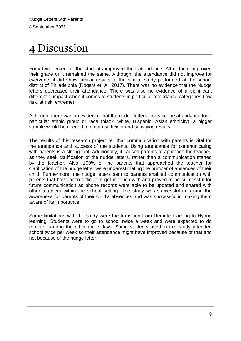# <span id="page-11-0"></span>4 Discussion

Forty two percent of the students improved their attendance. All of them improved their grade or it remained the same. Although, the attendance did not improve for everyone, it did show similar results to the similar study performed at the school district of Philadelphia (Rogers et. Al, 2017). There was no evidence that the Nudge letters decreased their attendance. There was also no evidence of a significant differential impact when it comes to students in particular attendance categories (low risk, at risk, extreme).

Although, there was no evidence that the nudge letters increase the attendance for a particular ethnic group or race (black, white, Hispanic, Asian ethnicity), a bigger sample would be needed to obtain sufficient and satisfying results.

The results of this research project tell that communication with parents is vital for the attendance and success of the students. Using attendance for communicating with parents is a strong tool. Additionally, it caused parents to approach the teacher, as they seek clarification of the nudge letters, rather than a communication started by the teacher. Also, 100% of the parents that approached the teacher for clarification of the nudge letter were underestimating the number of absences of their child. Furthermore, the nudge letters sent to parents enabled communication with parents that have been difficult to get in touch with and proved to be successful for future communication as phone records were able to be updated and shared with other teachers within the school setting. The study was successful in raising the awareness for parents of their child's absences and was successful in making them aware of its importance.

Some limitations with the study were the transition from Remote learning to Hybrid learning. Students were to go to school twice a week and were expected to do remote learning the other three days. Some students used in this study attended school twice per week so their attendance might have improved because of that and not because of the nudge letter.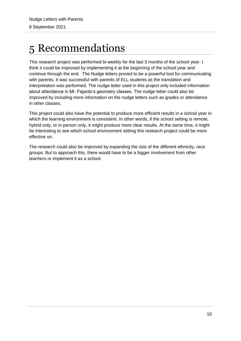# <span id="page-12-0"></span>5 Recommendations

This research project was performed bi-weekly for the last 3 months of the school year. I think it could be improved by implementing it at the beginning of the school year and continue through the end. The Nudge letters proved to be a powerful tool for communicating with parents. It was successful with parents of ELL students as the translation and interpretation was performed. The nudge letter used in this project only included information about attendance in Mr. Fajardo's geometry classes. The nudge letter could also be improved by including more information on the nudge letters such as grades or attendance in other classes.

This project could also have the potential to produce more efficient results in a school year in which the learning environment is consistent. In other words, if the school setting is remote, hybrid only, or in person only, it might produce more clear results. At the same time, it might be interesting to see which school environment setting this research project could be more effective on.

The research could also be improved by expanding the size of the different ethnicity, race groups. But to approach this, there would have to be a bigger involvement from other teachers or implement it as a school.